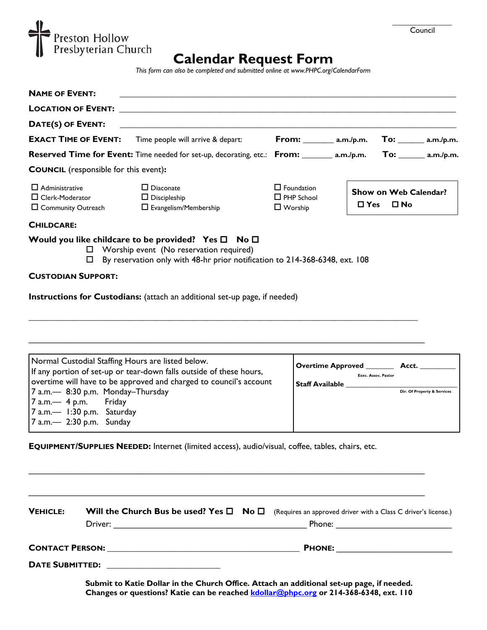

# **Calendar Request Form**

*This form can also be completed and submitted online at www.PHPC.org/CalendarForm*

| <b>NAME OF EVENT:</b>                                                                                                |                                                                                                                                                                                                                                     |                                                          |               |                                       |
|----------------------------------------------------------------------------------------------------------------------|-------------------------------------------------------------------------------------------------------------------------------------------------------------------------------------------------------------------------------------|----------------------------------------------------------|---------------|---------------------------------------|
|                                                                                                                      | <b>LOCATION OF EVENT:</b> the contract of the contract of the contract of the contract of the contract of the contract of the contract of the contract of the contract of the contract of the contract of the contract of the contr |                                                          |               |                                       |
| DATE(S) OF EVENT:                                                                                                    | <u> 1989 - Andrea Albert III, politik eta politik eta politik eta politik eta politik eta politik eta politik e</u>                                                                                                                 |                                                          |               |                                       |
| <b>EXACT TIME OF EVENT:</b>                                                                                          | Time people will arrive & depart:                                                                                                                                                                                                   | <b>From:</b> ________ a.m./p.m.                          |               | $\Gamma$ 0: ________ a.m./p.m.        |
| <b>Reserved Time for Event:</b> Time needed for set-up, decorating, etc.: From: ______ a.m./p.m. To: _____ a.m./p.m. |                                                                                                                                                                                                                                     |                                                          |               |                                       |
| <b>COUNCIL</b> (responsible for this event):                                                                         |                                                                                                                                                                                                                                     |                                                          |               |                                       |
| $\Box$ Administrative<br>$\Box$ Clerk-Moderator<br>□ Community Outreach                                              | $\Box$ Diaconate<br>$\Box$ Discipleship<br>$\Box$ Evangelism/Membership                                                                                                                                                             | $\Box$ Foundation<br>$\Box$ PHP School<br>$\Box$ Worship | $\square$ Yes | Show on Web Calendar?<br>$\square$ No |

#### **CHILDCARE:**

### **Would you like childcare to be provided?** Yes □ No □

- □ Worship event (No reservation required)
- By reservation only with 48-hr prior notification to 214-368-6348, ext. 108

**\_\_\_\_\_\_\_\_\_\_\_\_\_\_\_\_\_\_\_\_\_\_\_\_\_\_\_\_\_\_\_\_\_\_\_\_\_\_\_\_\_\_\_\_\_\_\_\_\_\_\_\_\_\_\_\_\_\_\_\_\_\_\_\_\_\_\_\_\_\_\_\_\_\_\_\_\_\_\_\_\_\_\_\_\_\_\_\_\_** 

 $\_$  , and the contribution of the contribution of the contribution of the contribution of the contribution of  $\mathcal{L}_\text{max}$ 

 $\mathcal{L}_\text{max}$  and  $\mathcal{L}_\text{max}$  and  $\mathcal{L}_\text{max}$  and  $\mathcal{L}_\text{max}$  and  $\mathcal{L}_\text{max}$  and  $\mathcal{L}_\text{max}$ 

 $\mathcal{L}_\text{max}$  and  $\mathcal{L}_\text{max}$  and  $\mathcal{L}_\text{max}$  and  $\mathcal{L}_\text{max}$  and  $\mathcal{L}_\text{max}$  and  $\mathcal{L}_\text{max}$ 

#### **CUSTODIAN SUPPORT:**

**Instructions for Custodians:** (attach an additional set-up page, if needed)

| Normal Custodial Staffing Hours are listed below.<br>If any portion of set-up or tear-down falls outside of these hours,<br>overtime will have to be approved and charged to council's account | <b>Overtime Approved</b><br>Exec. Assoc. Pastor<br><b>Staff Available</b> | Acct.                       |
|------------------------------------------------------------------------------------------------------------------------------------------------------------------------------------------------|---------------------------------------------------------------------------|-----------------------------|
| 7 a.m.— 8:30 p.m. Monday-Thursday<br>$7$ a.m.— 4 p.m. Friday<br>$7$ a.m.— 1:30 p.m. Saturday<br>$7$ a.m. $-$ 2:30 p.m. Sunday                                                                  |                                                                           | Dir. Of Property & Services |

**EQUIPMENT/SUPPLIES NEEDED:** Internet (limited access), audio/visual, coffee, tables, chairs, etc.

| <b>VEHICLE:</b> |                                                                                            | <b>Will the Church Bus be used? Yes <math>\Box</math> No <math>\Box</math></b> (Requires an approved driver with a Class C driver's license.) |
|-----------------|--------------------------------------------------------------------------------------------|-----------------------------------------------------------------------------------------------------------------------------------------------|
|                 | CONTACT PERSON: University of the CONTACT PERSON:<br><b>DATE SUBMITTED:</b> THE SUBMITTED: |                                                                                                                                               |

**Submit to Katie Dollar in the Church Office. Attach an additional set-up page, if needed. Changes or questions? Katie can be reached kdollar@phpc.org or 214-368-6348, ext. 110**

\_\_\_\_\_\_\_\_\_\_\_\_\_\_\_ Council